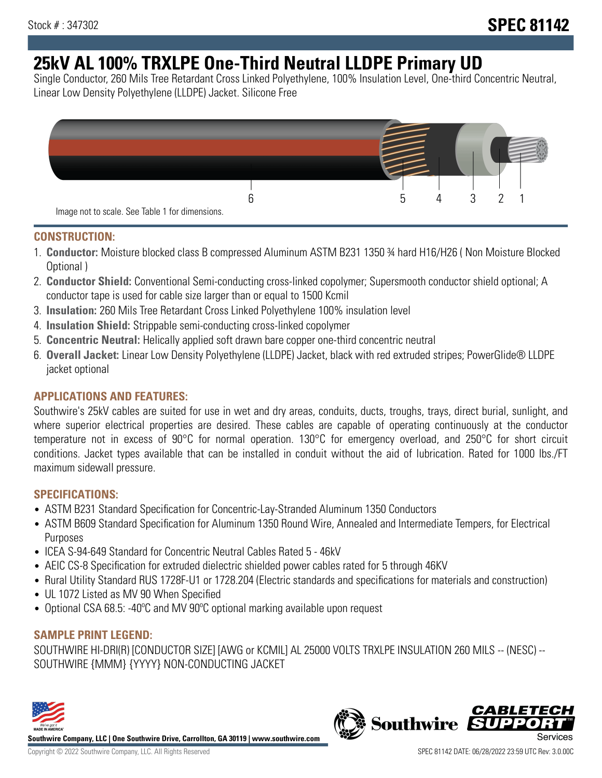# **25kV AL 100% TRXLPE One-Third Neutral LLDPE Primary UD**

Single Conductor, 260 Mils Tree Retardant Cross Linked Polyethylene, 100% Insulation Level, One-third Concentric Neutral, Linear Low Density Polyethylene (LLDPE) Jacket. Silicone Free



### **CONSTRUCTION:**

- 1. **Conductor:** Moisture blocked class B compressed Aluminum ASTM B231 1350 ¾ hard H16/H26 ( Non Moisture Blocked Optional )
- 2. **Conductor Shield:** Conventional Semi-conducting cross-linked copolymer; Supersmooth conductor shield optional; A conductor tape is used for cable size larger than or equal to 1500 Kcmil
- 3. **Insulation:** 260 Mils Tree Retardant Cross Linked Polyethylene 100% insulation level
- 4. **Insulation Shield:** Strippable semi-conducting cross-linked copolymer
- 5. **Concentric Neutral:** Helically applied soft drawn bare copper one-third concentric neutral
- 6. **Overall Jacket:** Linear Low Density Polyethylene (LLDPE) Jacket, black with red extruded stripes; PowerGlide® LLDPE jacket optional

# **APPLICATIONS AND FEATURES:**

Southwire's 25kV cables are suited for use in wet and dry areas, conduits, ducts, troughs, trays, direct burial, sunlight, and where superior electrical properties are desired. These cables are capable of operating continuously at the conductor temperature not in excess of 90°C for normal operation. 130°C for emergency overload, and 250°C for short circuit conditions. Jacket types available that can be installed in conduit without the aid of lubrication. Rated for 1000 lbs./FT maximum sidewall pressure.

# **SPECIFICATIONS:**

- ASTM B231 Standard Specification for Concentric-Lay-Stranded Aluminum 1350 Conductors
- ASTM B609 Standard Specification for Aluminum 1350 Round Wire, Annealed and Intermediate Tempers, for Electrical Purposes
- ICEA S-94-649 Standard for Concentric Neutral Cables Rated 5 46kV
- AEIC CS-8 Specification for extruded dielectric shielded power cables rated for 5 through 46KV
- Rural Utility Standard RUS 1728F-U1 or 1728.204 (Electric standards and specifications for materials and construction)
- UL 1072 Listed as MV 90 When Specified
- Optional CSA 68.5: -40ºC and MV 90ºC optional marking available upon request

# **SAMPLE PRINT LEGEND:**

SOUTHWIRE HI-DRI(R) [CONDUCTOR SIZE] [AWG or KCMIL] AL 25000 VOLTS TRXLPE INSULATION 260 MILS -- (NESC) -- SOUTHWIRE {MMM} {YYYY} NON-CONDUCTING JACKET



**Southwire Company, LLC | One Southwire Drive, Carrollton, GA 30119 | www.southwire.com**

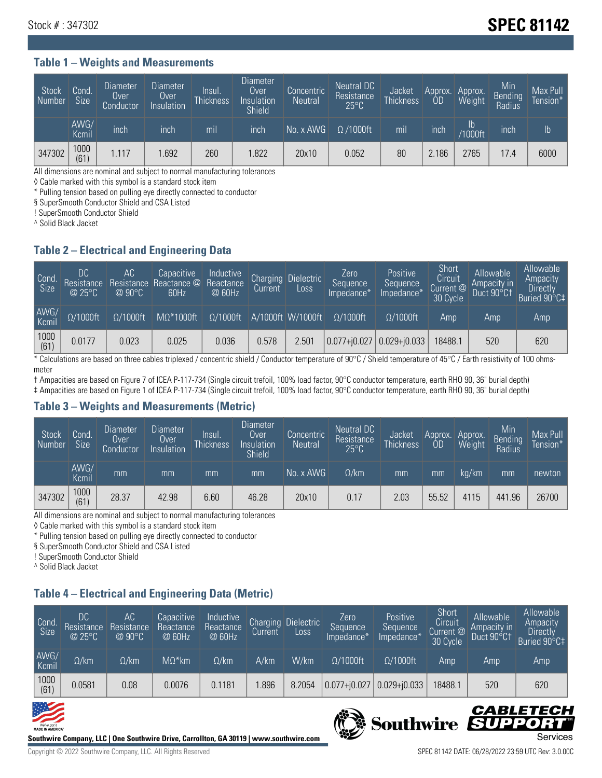# Stock # : 347302 **SPEC 81142**

#### **Table 1 – Weights and Measurements**

| Stock<br>  Number | Cond.<br><b>Size</b> | <b>Diameter</b><br>Over<br>Conductor | <b>Diameter</b><br>Over<br>Insulation | lnsul.<br>Thickness | <b>Diameter</b><br>Over.<br>Insulation<br><b>Shield</b> | Concentric<br><b>Neutral</b> | Neutral DC<br>Resistance<br>$25^{\circ}$ C | Jacket<br><b>Thickness</b> | Approx.<br>0D | Approx.<br>Weight    | Min<br><b>Bending</b><br>Radius | Max Pull<br>Tension* <sup>1</sup> |
|-------------------|----------------------|--------------------------------------|---------------------------------------|---------------------|---------------------------------------------------------|------------------------------|--------------------------------------------|----------------------------|---------------|----------------------|---------------------------------|-----------------------------------|
|                   | AWG/<br>Kcmil        | inch                                 | inch                                  | mil                 | inch                                                    | No. x AWG                    | $\Omega$ /1000ft                           | mil                        | inch          | Ib<br><b>Y1000ft</b> | inch                            | $\mathsf{lb}$                     |
| 347302            | 1000<br>(61)         | 1.117                                | .692                                  | 260                 | .822                                                    | 20x10                        | 0.052                                      | 80                         | 2.186         | 2765                 | 17.4                            | 6000                              |

All dimensions are nominal and subject to normal manufacturing tolerances

◊ Cable marked with this symbol is a standard stock item

\* Pulling tension based on pulling eye directly connected to conductor

§ SuperSmooth Conductor Shield and CSA Listed

! SuperSmooth Conductor Shield

^ Solid Black Jacket

### **Table 2 – Electrical and Engineering Data**

| Cond.<br>Size | 'DC<br>Resistance<br>@25°C | АC<br>Resistance<br>$\oslash$ 90°C | Capacitive<br>Reactance @<br>60Hz | Inductive<br>Reactance<br>@ 60Hz | <b>Charging</b><br>Current | <b>Dielectric</b><br>Loss. | Zero<br>Sequence<br>Impedance* | Positive<br>Sequence<br>Impedance* | Short<br>Circuit<br>Current <sup>@</sup><br>30 Cycle | Allowable<br>Ampacity in<br>Duct 90°C1 | Allowable<br>Ampacity<br><b>Directly</b><br>Buried 90°C‡ |
|---------------|----------------------------|------------------------------------|-----------------------------------|----------------------------------|----------------------------|----------------------------|--------------------------------|------------------------------------|------------------------------------------------------|----------------------------------------|----------------------------------------------------------|
| AWG/<br>Kcmil | $\Omega/1000$ ft           | $\Omega/1000$ ft                   | $M\Omega^*1000$ ft                | $\Omega/1000$ ft                 |                            | A/1000ft W/1000ft          | $0/1000$ ft                    | $\Omega$ /1000ft                   | Amp                                                  | Amp                                    | Amp                                                      |
| 1000<br>(61)  | 0.0177                     | 0.023                              | 0.025                             | 0.036                            | 0.578                      | 2.501                      | $ 0.077 + i0.027$              | $0.029 + j0.033$                   | 18488.1                                              | 520                                    | 620                                                      |

\* Calculations are based on three cables triplexed / concentric shield / Conductor temperature of 90°C / Shield temperature of 45°C / Earth resistivity of 100 ohmsmeter

† Ampacities are based on Figure 7 of ICEA P-117-734 (Single circuit trefoil, 100% load factor, 90°C conductor temperature, earth RHO 90, 36" burial depth) ‡ Ampacities are based on Figure 1 of ICEA P-117-734 (Single circuit trefoil, 100% load factor, 90°C conductor temperature, earth RHO 90, 36" burial depth)

### **Table 3 – Weights and Measurements (Metric)**

| Stock<br>Number | Cond.<br><b>Size</b> | <b>Diameter</b><br>Over<br>Conductor | Diameter<br>Over<br>Insulation | Insul.<br><b>Thickness</b> | <b>Diameter</b><br>Over<br>Insulation<br><b>Shield</b> | Concentric<br><b>Neutral</b> | Neutral DC<br>Resistance<br>$25^{\circ}C$ | Jacket<br><b>Thickness</b> | Approx.<br>OD | Approx.<br>Weight | Min<br>Bending | Max Pull<br>Tension* |
|-----------------|----------------------|--------------------------------------|--------------------------------|----------------------------|--------------------------------------------------------|------------------------------|-------------------------------------------|----------------------------|---------------|-------------------|----------------|----------------------|
|                 | AWG/<br>Kcmil        | mm                                   | mm                             | mm                         | mm                                                     | No. x AWG                    | $\Omega$ /km                              | mm                         | mm            | ka/km             | mm             | newton               |
| 347302          | 1000<br>(61)         | 28.37                                | 42.98                          | 6.60                       | 46.28                                                  | 20x10                        | 0.17                                      | 2.03                       | 55.52         | 4115              | 441.96         | 26700                |

All dimensions are nominal and subject to normal manufacturing tolerances

◊ Cable marked with this symbol is a standard stock item

\* Pulling tension based on pulling eye directly connected to conductor

§ SuperSmooth Conductor Shield and CSA Listed

! SuperSmooth Conductor Shield

^ Solid Black Jacket

# **Table 4 – Electrical and Engineering Data (Metric)**

| Cond.<br>Size | 'DC<br>Resistance<br>@25°C | АC<br>Resistance<br>$@90^{\circ}C$ | Capacitive<br>Reactance<br>@ 60Hz | Inductive<br>Reactance<br>@ 60Hz | Charging<br>Current, | Dielectric<br>LOSS. | Zero<br>Sequence<br>Impedance* | Positive<br>Sequence<br>Impedance* | Short<br>Circuit<br>Current @<br>30 Cycle | Allowable<br>Ampacity in<br>Duct 90°C1 | Allowable<br>Ampacity<br><b>Directly</b><br>Buried 90°C‡ |
|---------------|----------------------------|------------------------------------|-----------------------------------|----------------------------------|----------------------|---------------------|--------------------------------|------------------------------------|-------------------------------------------|----------------------------------------|----------------------------------------------------------|
| AWG/<br>Kcmil | $\Omega$ /km               | $\Omega$ /km                       | $M\Omega^*$ km                    | $\Omega$ /km                     | A/km                 | W/km                | $\Omega/1000$ ft               | $\Omega$ /1000ft                   | Amp                                       | Amp                                    | Amp                                                      |
| 1000<br>(61)  | 0.0581                     | 0.08                               | 0.0076                            | 0.1181                           | .896                 | 8.2054              | $0.077 + j0.027$               | $0.029 + j0.033$                   | 18488.1                                   | 520                                    | 620                                                      |





Copyright © 2022 Southwire Company, LLC. All Rights Reserved SPEC 81142 DATE: 06/28/2022 23:59 UTC Rev: 3.0.00C